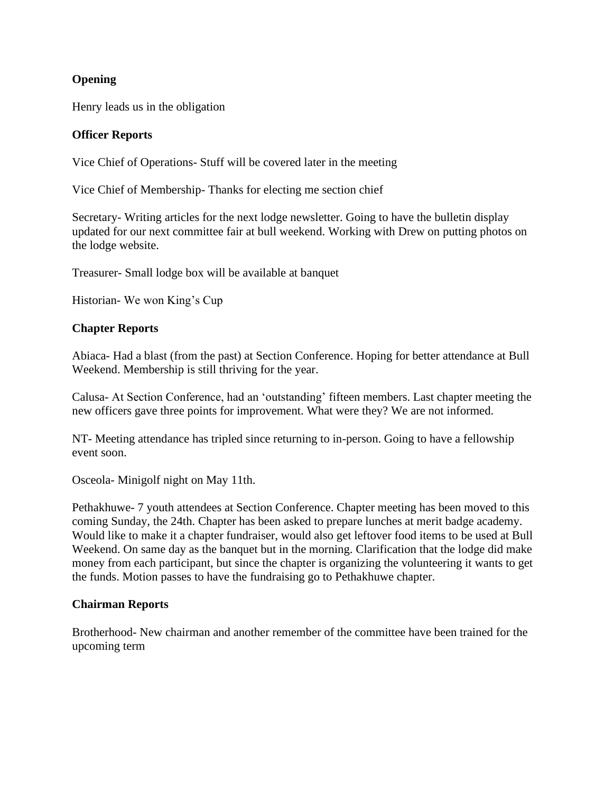# **Opening**

Henry leads us in the obligation

# **Officer Reports**

Vice Chief of Operations- Stuff will be covered later in the meeting

Vice Chief of Membership- Thanks for electing me section chief

Secretary- Writing articles for the next lodge newsletter. Going to have the bulletin display updated for our next committee fair at bull weekend. Working with Drew on putting photos on the lodge website.

Treasurer- Small lodge box will be available at banquet

Historian- We won King's Cup

## **Chapter Reports**

Abiaca- Had a blast (from the past) at Section Conference. Hoping for better attendance at Bull Weekend. Membership is still thriving for the year.

Calusa- At Section Conference, had an 'outstanding' fifteen members. Last chapter meeting the new officers gave three points for improvement. What were they? We are not informed.

NT- Meeting attendance has tripled since returning to in-person. Going to have a fellowship event soon.

Osceola- Minigolf night on May 11th.

Pethakhuwe- 7 youth attendees at Section Conference. Chapter meeting has been moved to this coming Sunday, the 24th. Chapter has been asked to prepare lunches at merit badge academy. Would like to make it a chapter fundraiser, would also get leftover food items to be used at Bull Weekend. On same day as the banquet but in the morning. Clarification that the lodge did make money from each participant, but since the chapter is organizing the volunteering it wants to get the funds. Motion passes to have the fundraising go to Pethakhuwe chapter.

## **Chairman Reports**

Brotherhood- New chairman and another remember of the committee have been trained for the upcoming term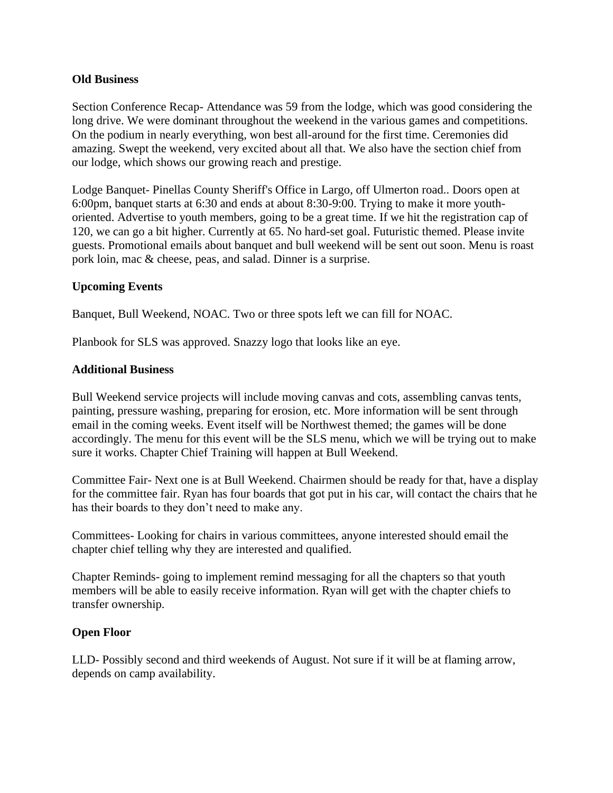## **Old Business**

Section Conference Recap- Attendance was 59 from the lodge, which was good considering the long drive. We were dominant throughout the weekend in the various games and competitions. On the podium in nearly everything, won best all-around for the first time. Ceremonies did amazing. Swept the weekend, very excited about all that. We also have the section chief from our lodge, which shows our growing reach and prestige.

Lodge Banquet- Pinellas County Sheriff's Office in Largo, off Ulmerton road.. Doors open at 6:00pm, banquet starts at 6:30 and ends at about 8:30-9:00. Trying to make it more youthoriented. Advertise to youth members, going to be a great time. If we hit the registration cap of 120, we can go a bit higher. Currently at 65. No hard-set goal. Futuristic themed. Please invite guests. Promotional emails about banquet and bull weekend will be sent out soon. Menu is roast pork loin, mac & cheese, peas, and salad. Dinner is a surprise.

## **Upcoming Events**

Banquet, Bull Weekend, NOAC. Two or three spots left we can fill for NOAC.

Planbook for SLS was approved. Snazzy logo that looks like an eye.

#### **Additional Business**

Bull Weekend service projects will include moving canvas and cots, assembling canvas tents, painting, pressure washing, preparing for erosion, etc. More information will be sent through email in the coming weeks. Event itself will be Northwest themed; the games will be done accordingly. The menu for this event will be the SLS menu, which we will be trying out to make sure it works. Chapter Chief Training will happen at Bull Weekend.

Committee Fair- Next one is at Bull Weekend. Chairmen should be ready for that, have a display for the committee fair. Ryan has four boards that got put in his car, will contact the chairs that he has their boards to they don't need to make any.

Committees- Looking for chairs in various committees, anyone interested should email the chapter chief telling why they are interested and qualified.

Chapter Reminds- going to implement remind messaging for all the chapters so that youth members will be able to easily receive information. Ryan will get with the chapter chiefs to transfer ownership.

## **Open Floor**

LLD- Possibly second and third weekends of August. Not sure if it will be at flaming arrow, depends on camp availability.